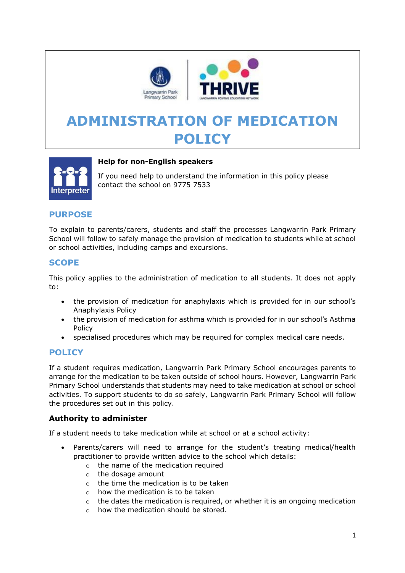

# **ADMINISTRATION OF MEDICATION POLICY**



## **Help for non-English speakers**

If you need help to understand the information in this policy please contact the school on 9775 7533

## **PURPOSE**

To explain to parents/carers, students and staff the processes Langwarrin Park Primary School will follow to safely manage the provision of medication to students while at school or school activities, including camps and excursions.

# **SCOPE**

This policy applies to the administration of medication to all students. It does not apply to:

- the provision of medication for anaphylaxis which is provided for in our school's Anaphylaxis Policy
- the provision of medication for asthma which is provided for in our school's Asthma Policy
- specialised procedures which may be required for complex medical care needs.

# **POLICY**

If a student requires medication, Langwarrin Park Primary School encourages parents to arrange for the medication to be taken outside of school hours. However, Langwarrin Park Primary School understands that students may need to take medication at school or school activities. To support students to do so safely, Langwarrin Park Primary School will follow the procedures set out in this policy.

## **Authority to administer**

If a student needs to take medication while at school or at a school activity:

- Parents/carers will need to arrange for the student's treating medical/health practitioner to provide written advice to the school which details:
	- o the name of the medication required
	- o the dosage amount
	- $\circ$  the time the medication is to be taken
	- $\circ$  how the medication is to be taken
	- $\circ$  the dates the medication is required, or whether it is an ongoing medication
	- $\circ$  how the medication should be stored.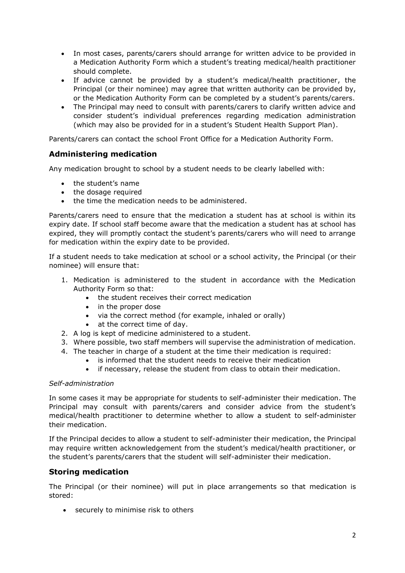- In most cases, parents/carers should arrange for written advice to be provided in a Medication Authority Form which a student's treating medical/health practitioner should complete.
- If advice cannot be provided by a student's medical/health practitioner, the Principal (or their nominee) may agree that written authority can be provided by, or the Medication Authority Form can be completed by a student's parents/carers.
- The Principal may need to consult with parents/carers to clarify written advice and consider student's individual preferences regarding medication administration (which may also be provided for in a student's Student Health Support Plan).

Parents/carers can contact the school Front Office for a Medication Authority Form.

## **Administering medication**

Any medication brought to school by a student needs to be clearly labelled with:

- the student's name
- the dosage required
- the time the medication needs to be administered.

Parents/carers need to ensure that the medication a student has at school is within its expiry date. If school staff become aware that the medication a student has at school has expired, they will promptly contact the student's parents/carers who will need to arrange for medication within the expiry date to be provided.

If a student needs to take medication at school or a school activity, the Principal (or their nominee) will ensure that:

- 1. Medication is administered to the student in accordance with the Medication Authority Form so that:
	- the student receives their correct medication
	- in the proper dose
	- via the correct method (for example, inhaled or orally)
	- at the correct time of day.
- 2. A log is kept of medicine administered to a student.
- 3. Where possible, two staff members will supervise the administration of medication.
- 4. The teacher in charge of a student at the time their medication is required:
	- is informed that the student needs to receive their medication
	- if necessary, release the student from class to obtain their medication.

#### *Self-administration*

In some cases it may be appropriate for students to self-administer their medication. The Principal may consult with parents/carers and consider advice from the student's medical/health practitioner to determine whether to allow a student to self-administer their medication.

If the Principal decides to allow a student to self-administer their medication, the Principal may require written acknowledgement from the student's medical/health practitioner, or the student's parents/carers that the student will self-administer their medication.

## **Storing medication**

The Principal (or their nominee) will put in place arrangements so that medication is stored:

• securely to minimise risk to others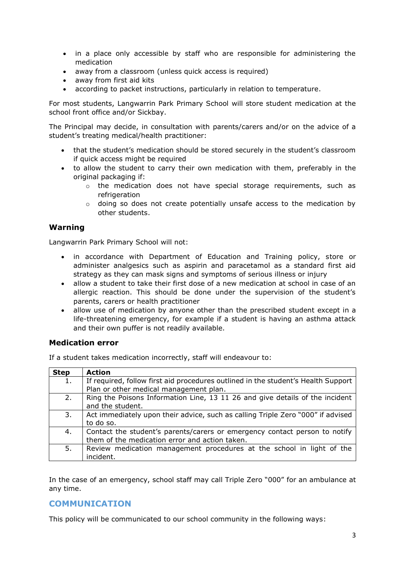- in a place only accessible by staff who are responsible for administering the medication
- away from a classroom (unless quick access is required)
- away from first aid kits
- according to packet instructions, particularly in relation to temperature.

For most students, Langwarrin Park Primary School will store student medication at the school front office and/or Sickbay.

The Principal may decide, in consultation with parents/carers and/or on the advice of a student's treating medical/health practitioner:

- that the student's medication should be stored securely in the student's classroom if quick access might be required
- to allow the student to carry their own medication with them, preferably in the original packaging if:
	- $\circ$  the medication does not have special storage requirements, such as refrigeration
	- $\circ$  doing so does not create potentially unsafe access to the medication by other students.

## **Warning**

Langwarrin Park Primary School will not:

- in accordance with Department of Education and Training policy, store or administer analgesics such as aspirin and paracetamol as a standard first aid strategy as they can mask signs and symptoms of serious illness or injury
- allow a student to take their first dose of a new medication at school in case of an allergic reaction. This should be done under the supervision of the student's parents, carers or health practitioner
- allow use of medication by anyone other than the prescribed student except in a life-threatening emergency, for example if a student is having an asthma attack and their own puffer is not readily available.

## **Medication error**

If a student takes medication incorrectly, staff will endeavour to:

| <b>Step</b> | <b>Action</b>                                                                     |
|-------------|-----------------------------------------------------------------------------------|
| 1.          | If required, follow first aid procedures outlined in the student's Health Support |
|             | Plan or other medical management plan.                                            |
| 2.          | Ring the Poisons Information Line, 13 11 26 and give details of the incident      |
|             | and the student.                                                                  |
| 3.          | Act immediately upon their advice, such as calling Triple Zero "000" if advised   |
|             | to do so.                                                                         |
| 4.          | Contact the student's parents/carers or emergency contact person to notify        |
|             | them of the medication error and action taken.                                    |
| 5.          | Review medication management procedures at the school in light of the             |
|             | incident.                                                                         |

In the case of an emergency, school staff may call Triple Zero "000" for an ambulance at any time.

## **COMMUNICATION**

This policy will be communicated to our school community in the following ways: